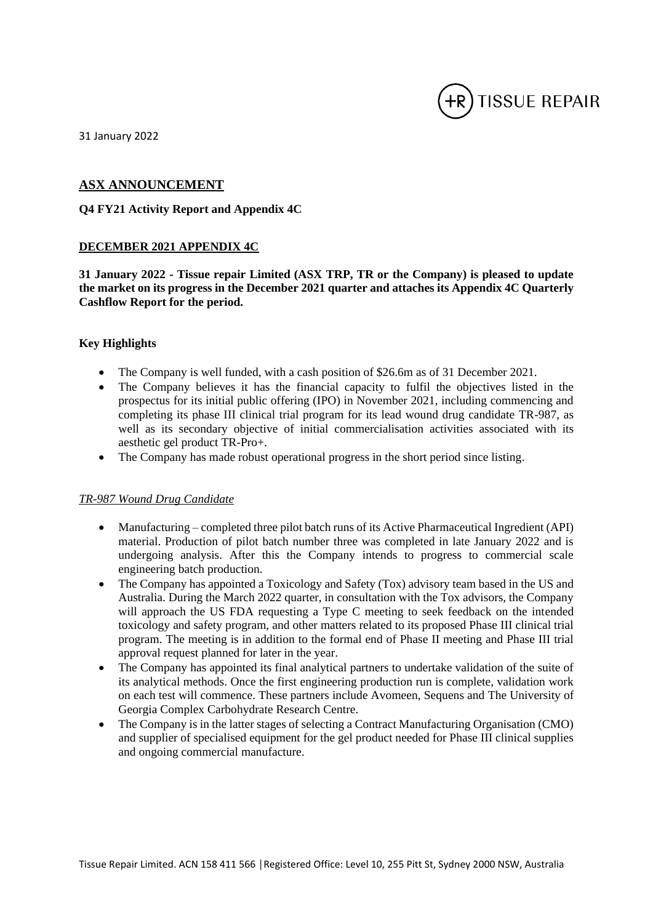

31 January 2022

### **ASX ANNOUNCEMENT**

#### **Q4 FY21 Activity Report and Appendix 4C**

#### **DECEMBER 2021 APPENDIX 4C**

**31 January 2022 - Tissue repair Limited (ASX TRP, TR or the Company) is pleased to update the market on its progress in the December 2021 quarter and attaches its Appendix 4C Quarterly Cashflow Report for the period.**

#### **Key Highlights**

- The Company is well funded, with a cash position of \$26.6m as of 31 December 2021.
- The Company believes it has the financial capacity to fulfil the objectives listed in the prospectus for its initial public offering (IPO) in November 2021, including commencing and completing its phase III clinical trial program for its lead wound drug candidate TR-987, as well as its secondary objective of initial commercialisation activities associated with its aesthetic gel product TR-Pro+.
- The Company has made robust operational progress in the short period since listing.

#### *TR-987 Wound Drug Candidate*

- Manufacturing completed three pilot batch runs of its Active Pharmaceutical Ingredient (API) material. Production of pilot batch number three was completed in late January 2022 and is undergoing analysis. After this the Company intends to progress to commercial scale engineering batch production.
- The Company has appointed a Toxicology and Safety (Tox) advisory team based in the US and Australia. During the March 2022 quarter, in consultation with the Tox advisors, the Company will approach the US FDA requesting a Type C meeting to seek feedback on the intended toxicology and safety program, and other matters related to its proposed Phase III clinical trial program. The meeting is in addition to the formal end of Phase II meeting and Phase III trial approval request planned for later in the year.
- The Company has appointed its final analytical partners to undertake validation of the suite of its analytical methods. Once the first engineering production run is complete, validation work on each test will commence. These partners include Avomeen, Sequens and The University of Georgia Complex Carbohydrate Research Centre.
- The Company is in the latter stages of selecting a Contract Manufacturing Organisation (CMO) and supplier of specialised equipment for the gel product needed for Phase III clinical supplies and ongoing commercial manufacture.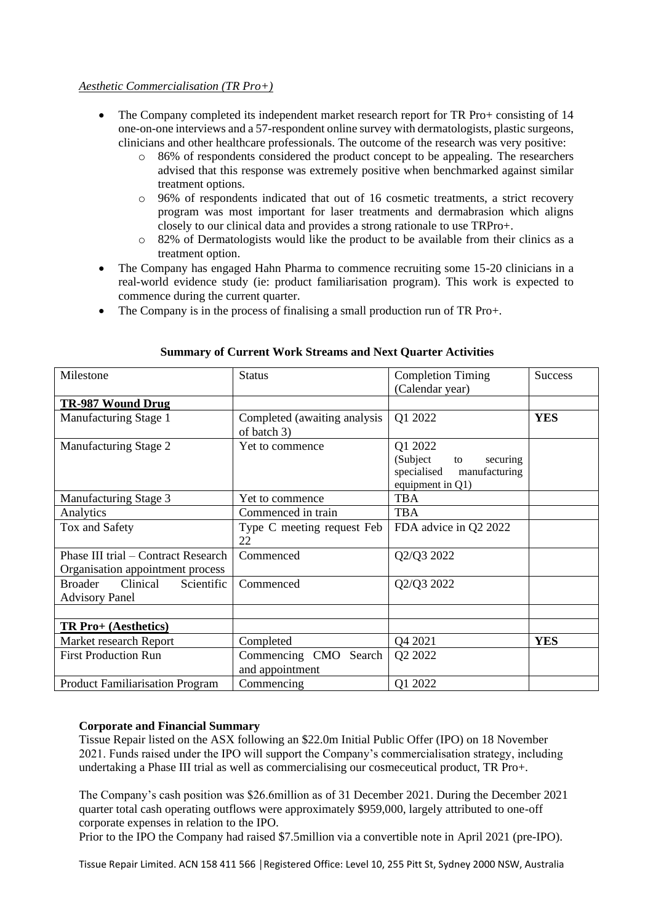#### *Aesthetic Commercialisation (TR Pro+)*

- The Company completed its independent market research report for TR Pro+ consisting of 14 one-on-one interviews and a 57-respondent online survey with dermatologists, plastic surgeons, clinicians and other healthcare professionals. The outcome of the research was very positive:
	- o 86% of respondents considered the product concept to be appealing. The researchers advised that this response was extremely positive when benchmarked against similar treatment options.
	- o 96% of respondents indicated that out of 16 cosmetic treatments, a strict recovery program was most important for laser treatments and dermabrasion which aligns closely to our clinical data and provides a strong rationale to use TRPro+.
	- o 82% of Dermatologists would like the product to be available from their clinics as a treatment option.
- The Company has engaged Hahn Pharma to commence recruiting some 15-20 clinicians in a real-world evidence study (ie: product familiarisation program). This work is expected to commence during the current quarter.
- The Company is in the process of finalising a small production run of TR Pro+.

| Milestone                                                               | <b>Status</b>                               | <b>Completion Timing</b><br>(Calendar year)                                               | <b>Success</b> |
|-------------------------------------------------------------------------|---------------------------------------------|-------------------------------------------------------------------------------------------|----------------|
| TR-987 Wound Drug                                                       |                                             |                                                                                           |                |
| Manufacturing Stage 1                                                   | Completed (awaiting analysis<br>of batch 3) | Q1 2022                                                                                   | <b>YES</b>     |
| Manufacturing Stage 2                                                   | Yet to commence                             | Q1 2022<br>(Subject<br>securing<br>to<br>specialised<br>manufacturing<br>equipment in Q1) |                |
| Manufacturing Stage 3                                                   | Yet to commence                             | <b>TBA</b>                                                                                |                |
| Analytics                                                               | Commenced in train                          | <b>TBA</b>                                                                                |                |
| Tox and Safety                                                          | Type C meeting request Feb<br>22            | FDA advice in Q2 2022                                                                     |                |
| Phase III trial – Contract Research<br>Organisation appointment process | Commenced                                   | Q2/Q3 2022                                                                                |                |
| Clinical<br><b>Broader</b><br>Scientific<br><b>Advisory Panel</b>       | Commenced                                   | Q2/Q3 2022                                                                                |                |
|                                                                         |                                             |                                                                                           |                |
| TR Pro+ (Aesthetics)                                                    |                                             |                                                                                           |                |
| Market research Report                                                  | Completed                                   | Q4 2021                                                                                   | <b>YES</b>     |
| <b>First Production Run</b>                                             | Commencing CMO Search<br>and appointment    | Q2 2022                                                                                   |                |
| <b>Product Familiarisation Program</b>                                  | Commencing                                  | Q1 2022                                                                                   |                |

#### **Summary of Current Work Streams and Next Quarter Activities**

#### **Corporate and Financial Summary**

Tissue Repair listed on the ASX following an \$22.0m Initial Public Offer (IPO) on 18 November 2021. Funds raised under the IPO will support the Company's commercialisation strategy, including undertaking a Phase III trial as well as commercialising our cosmeceutical product, TR Pro+.

The Company's cash position was \$26.6million as of 31 December 2021. During the December 2021 quarter total cash operating outflows were approximately \$959,000, largely attributed to one-off corporate expenses in relation to the IPO.

Prior to the IPO the Company had raised \$7.5million via a convertible note in April 2021 (pre-IPO).

Tissue Repair Limited. ACN 158 411 566 │Registered Office: Level 10, 255 Pitt St, Sydney 2000 NSW, Australia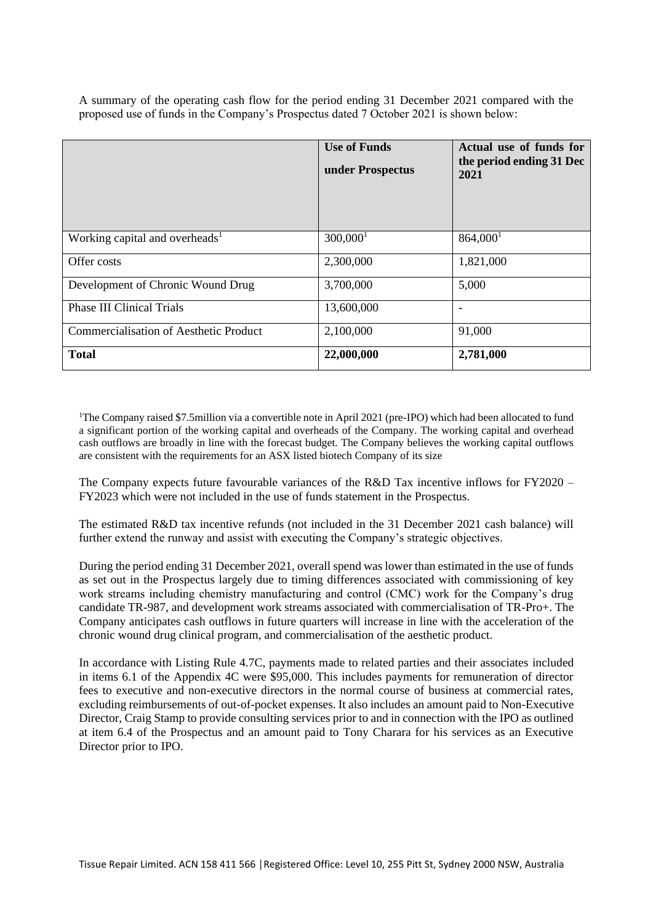A summary of the operating cash flow for the period ending 31 December 2021 compared with the proposed use of funds in the Company's Prospectus dated 7 October 2021 is shown below:

|                                               | <b>Use of Funds</b><br>under Prospectus | Actual use of funds for<br>the period ending 31 Dec<br>2021 |
|-----------------------------------------------|-----------------------------------------|-------------------------------------------------------------|
| Working capital and overheads <sup>1</sup>    | 300,000 <sup>1</sup>                    | 864,000 <sup>1</sup>                                        |
| Offer costs                                   | 2,300,000                               | 1,821,000                                                   |
| Development of Chronic Wound Drug             | 3,700,000                               | 5,000                                                       |
| <b>Phase III Clinical Trials</b>              | 13,600,000                              | $\overline{\phantom{a}}$                                    |
| <b>Commercialisation of Aesthetic Product</b> | 2,100,000                               | 91,000                                                      |
| <b>Total</b>                                  | 22,000,000                              | 2,781,000                                                   |

<sup>1</sup>The Company raised \$7.5million via a convertible note in April 2021 (pre-IPO) which had been allocated to fund a significant portion of the working capital and overheads of the Company. The working capital and overhead cash outflows are broadly in line with the forecast budget. The Company believes the working capital outflows are consistent with the requirements for an ASX listed biotech Company of its size

The Company expects future favourable variances of the R&D Tax incentive inflows for FY2020 – FY2023 which were not included in the use of funds statement in the Prospectus.

The estimated R&D tax incentive refunds (not included in the 31 December 2021 cash balance) will further extend the runway and assist with executing the Company's strategic objectives.

During the period ending 31 December 2021, overall spend was lower than estimated in the use of funds as set out in the Prospectus largely due to timing differences associated with commissioning of key work streams including chemistry manufacturing and control (CMC) work for the Company's drug candidate TR-987, and development work streams associated with commercialisation of TR-Pro+. The Company anticipates cash outflows in future quarters will increase in line with the acceleration of the chronic wound drug clinical program, and commercialisation of the aesthetic product.

In accordance with Listing Rule 4.7C, payments made to related parties and their associates included in items 6.1 of the Appendix 4C were \$95,000. This includes payments for remuneration of director fees to executive and non-executive directors in the normal course of business at commercial rates, excluding reimbursements of out-of-pocket expenses. It also includes an amount paid to Non-Executive Director, Craig Stamp to provide consulting services prior to and in connection with the IPO as outlined at item 6.4 of the Prospectus and an amount paid to Tony Charara for his services as an Executive Director prior to IPO.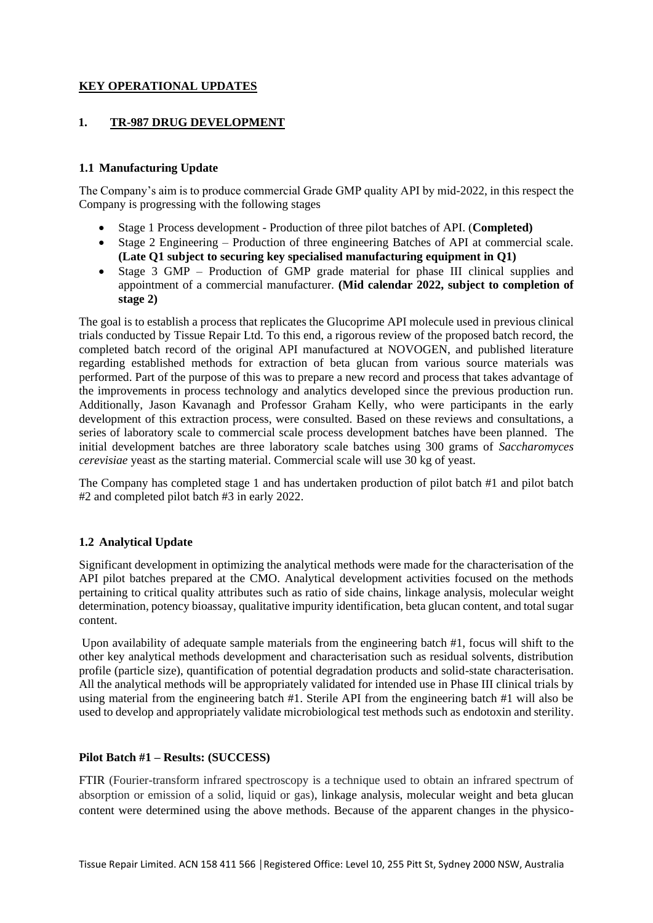# **KEY OPERATIONAL UPDATES**

# **1. TR-987 DRUG DEVELOPMENT**

# **1.1 Manufacturing Update**

The Company's aim is to produce commercial Grade GMP quality API by mid-2022, in this respect the Company is progressing with the following stages

- Stage 1 Process development Production of three pilot batches of API. (**Completed)**
- Stage 2 Engineering Production of three engineering Batches of API at commercial scale. **(Late Q1 subject to securing key specialised manufacturing equipment in Q1)**
- Stage 3 GMP Production of GMP grade material for phase III clinical supplies and appointment of a commercial manufacturer. **(Mid calendar 2022, subject to completion of stage 2)**

The goal is to establish a process that replicates the Glucoprime API molecule used in previous clinical trials conducted by Tissue Repair Ltd. To this end, a rigorous review of the proposed batch record, the completed batch record of the original API manufactured at NOVOGEN, and published literature regarding established methods for extraction of beta glucan from various source materials was performed. Part of the purpose of this was to prepare a new record and process that takes advantage of the improvements in process technology and analytics developed since the previous production run. Additionally, Jason Kavanagh and Professor Graham Kelly, who were participants in the early development of this extraction process, were consulted. Based on these reviews and consultations, a series of laboratory scale to commercial scale process development batches have been planned. The initial development batches are three laboratory scale batches using 300 grams of *Saccharomyces cerevisiae* yeast as the starting material. Commercial scale will use 30 kg of yeast.

The Company has completed stage 1 and has undertaken production of pilot batch #1 and pilot batch #2 and completed pilot batch #3 in early 2022.

# **1.2 Analytical Update**

Significant development in optimizing the analytical methods were made for the characterisation of the API pilot batches prepared at the CMO. Analytical development activities focused on the methods pertaining to critical quality attributes such as ratio of side chains, linkage analysis, molecular weight determination, potency bioassay, qualitative impurity identification, beta glucan content, and total sugar content.

Upon availability of adequate sample materials from the engineering batch #1, focus will shift to the other key analytical methods development and characterisation such as residual solvents, distribution profile (particle size), quantification of potential degradation products and solid-state characterisation. All the analytical methods will be appropriately validated for intended use in Phase III clinical trials by using material from the engineering batch #1. Sterile API from the engineering batch #1 will also be used to develop and appropriately validate microbiological test methods such as endotoxin and sterility.

#### **Pilot Batch #1 – Results: (SUCCESS)**

FTIR (Fourier-transform infrared spectroscopy is a technique used to obtain an infrared spectrum of absorption or emission of a solid, liquid or gas), linkage analysis, molecular weight and beta glucan content were determined using the above methods. Because of the apparent changes in the physico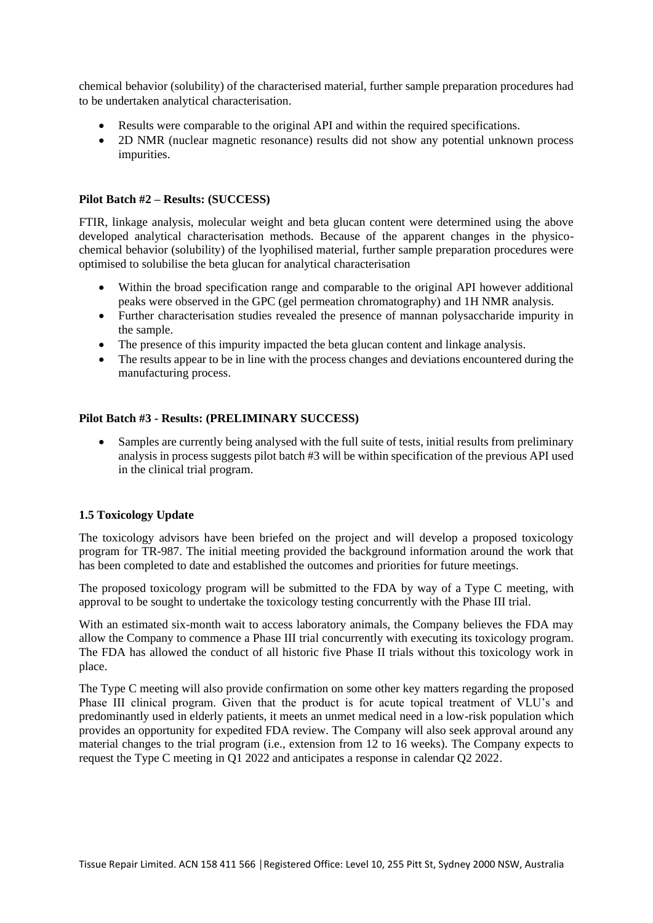chemical behavior (solubility) of the characterised material, further sample preparation procedures had to be undertaken analytical characterisation.

- Results were comparable to the original API and within the required specifications.
- 2D NMR (nuclear magnetic resonance) results did not show any potential unknown process impurities.

# **Pilot Batch #2 – Results: (SUCCESS)**

FTIR, linkage analysis, molecular weight and beta glucan content were determined using the above developed analytical characterisation methods. Because of the apparent changes in the physicochemical behavior (solubility) of the lyophilised material, further sample preparation procedures were optimised to solubilise the beta glucan for analytical characterisation

- Within the broad specification range and comparable to the original API however additional peaks were observed in the GPC (gel permeation chromatography) and 1H NMR analysis.
- Further characterisation studies revealed the presence of mannan polysaccharide impurity in the sample.
- The presence of this impurity impacted the beta glucan content and linkage analysis.
- The results appear to be in line with the process changes and deviations encountered during the manufacturing process.

# **Pilot Batch #3 - Results: (PRELIMINARY SUCCESS)**

Samples are currently being analysed with the full suite of tests, initial results from preliminary analysis in process suggests pilot batch #3 will be within specification of the previous API used in the clinical trial program.

#### **1.5 Toxicology Update**

The toxicology advisors have been briefed on the project and will develop a proposed toxicology program for TR-987. The initial meeting provided the background information around the work that has been completed to date and established the outcomes and priorities for future meetings.

The proposed toxicology program will be submitted to the FDA by way of a Type C meeting, with approval to be sought to undertake the toxicology testing concurrently with the Phase III trial.

With an estimated six-month wait to access laboratory animals, the Company believes the FDA may allow the Company to commence a Phase III trial concurrently with executing its toxicology program. The FDA has allowed the conduct of all historic five Phase II trials without this toxicology work in place.

The Type C meeting will also provide confirmation on some other key matters regarding the proposed Phase III clinical program. Given that the product is for acute topical treatment of VLU's and predominantly used in elderly patients, it meets an unmet medical need in a low-risk population which provides an opportunity for expedited FDA review. The Company will also seek approval around any material changes to the trial program (i.e., extension from 12 to 16 weeks). The Company expects to request the Type C meeting in Q1 2022 and anticipates a response in calendar Q2 2022.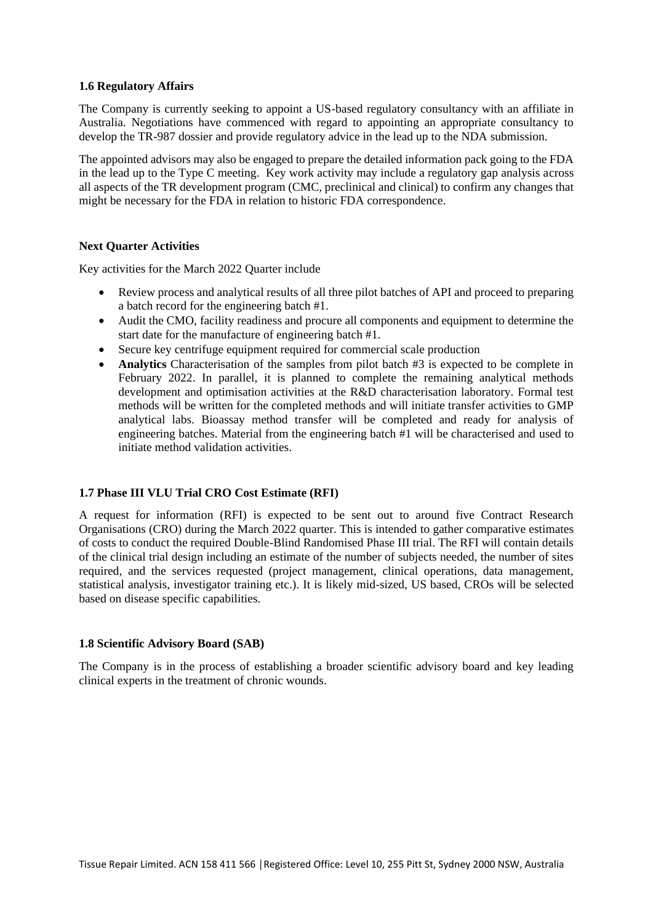#### **1.6 Regulatory Affairs**

The Company is currently seeking to appoint a US-based regulatory consultancy with an affiliate in Australia. Negotiations have commenced with regard to appointing an appropriate consultancy to develop the TR-987 dossier and provide regulatory advice in the lead up to the NDA submission.

The appointed advisors may also be engaged to prepare the detailed information pack going to the FDA in the lead up to the Type C meeting. Key work activity may include a regulatory gap analysis across all aspects of the TR development program (CMC, preclinical and clinical) to confirm any changes that might be necessary for the FDA in relation to historic FDA correspondence.

#### **Next Quarter Activities**

Key activities for the March 2022 Quarter include

- Review process and analytical results of all three pilot batches of API and proceed to preparing a batch record for the engineering batch #1.
- Audit the CMO, facility readiness and procure all components and equipment to determine the start date for the manufacture of engineering batch #1.
- Secure key centrifuge equipment required for commercial scale production
- **Analytics** Characterisation of the samples from pilot batch #3 is expected to be complete in February 2022. In parallel, it is planned to complete the remaining analytical methods development and optimisation activities at the R&D characterisation laboratory. Formal test methods will be written for the completed methods and will initiate transfer activities to GMP analytical labs. Bioassay method transfer will be completed and ready for analysis of engineering batches. Material from the engineering batch #1 will be characterised and used to initiate method validation activities.

#### **1.7 Phase III VLU Trial CRO Cost Estimate (RFI)**

A request for information (RFI) is expected to be sent out to around five Contract Research Organisations (CRO) during the March 2022 quarter. This is intended to gather comparative estimates of costs to conduct the required Double-Blind Randomised Phase III trial. The RFI will contain details of the clinical trial design including an estimate of the number of subjects needed, the number of sites required, and the services requested (project management, clinical operations, data management, statistical analysis, investigator training etc.). It is likely mid-sized, US based, CROs will be selected based on disease specific capabilities.

#### **1.8 Scientific Advisory Board (SAB)**

The Company is in the process of establishing a broader scientific advisory board and key leading clinical experts in the treatment of chronic wounds.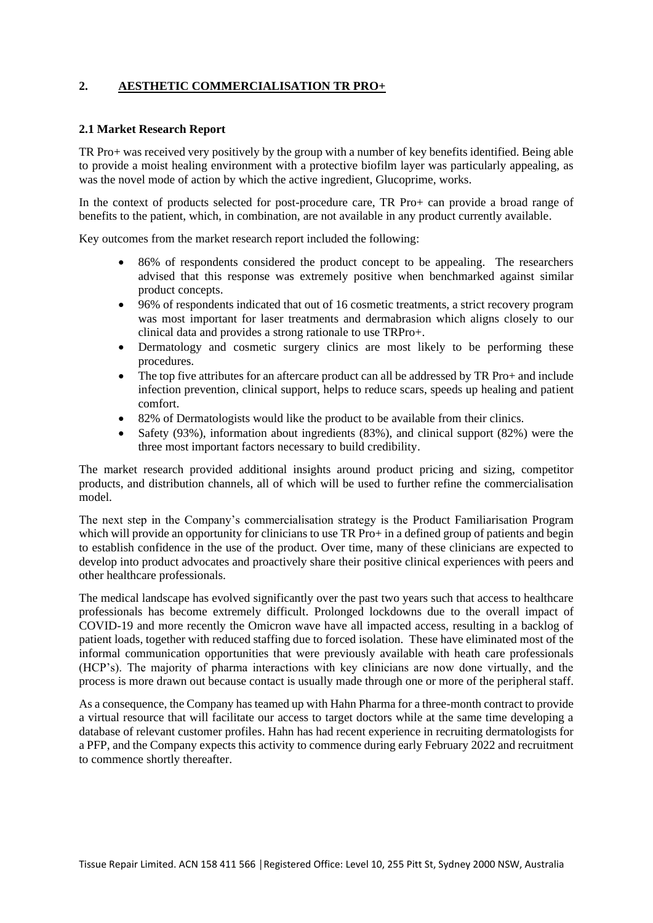# **2. AESTHETIC COMMERCIALISATION TR PRO+**

#### **2.1 Market Research Report**

TR Pro+ was received very positively by the group with a number of key benefits identified. Being able to provide a moist healing environment with a protective biofilm layer was particularly appealing, as was the novel mode of action by which the active ingredient, Glucoprime, works.

In the context of products selected for post-procedure care, TR Pro+ can provide a broad range of benefits to the patient, which, in combination, are not available in any product currently available.

Key outcomes from the market research report included the following:

- 86% of respondents considered the product concept to be appealing. The researchers advised that this response was extremely positive when benchmarked against similar product concepts.
- 96% of respondents indicated that out of 16 cosmetic treatments, a strict recovery program was most important for laser treatments and dermabrasion which aligns closely to our clinical data and provides a strong rationale to use TRPro+.
- Dermatology and cosmetic surgery clinics are most likely to be performing these procedures.
- The top five attributes for an aftercare product can all be addressed by TR Pro+ and include infection prevention, clinical support, helps to reduce scars, speeds up healing and patient comfort.
- 82% of Dermatologists would like the product to be available from their clinics.
- Safety (93%), information about ingredients (83%), and clinical support (82%) were the three most important factors necessary to build credibility.

The market research provided additional insights around product pricing and sizing, competitor products, and distribution channels, all of which will be used to further refine the commercialisation model.

The next step in the Company's commercialisation strategy is the Product Familiarisation Program which will provide an opportunity for clinicians to use TR Pro+ in a defined group of patients and begin to establish confidence in the use of the product. Over time, many of these clinicians are expected to develop into product advocates and proactively share their positive clinical experiences with peers and other healthcare professionals.

The medical landscape has evolved significantly over the past two years such that access to healthcare professionals has become extremely difficult. Prolonged lockdowns due to the overall impact of COVID-19 and more recently the Omicron wave have all impacted access, resulting in a backlog of patient loads, together with reduced staffing due to forced isolation. These have eliminated most of the informal communication opportunities that were previously available with heath care professionals (HCP's). The majority of pharma interactions with key clinicians are now done virtually, and the process is more drawn out because contact is usually made through one or more of the peripheral staff.

As a consequence, the Company has teamed up with Hahn Pharma for a three-month contract to provide a virtual resource that will facilitate our access to target doctors while at the same time developing a database of relevant customer profiles. Hahn has had recent experience in recruiting dermatologists for a PFP, and the Company expects this activity to commence during early February 2022 and recruitment to commence shortly thereafter.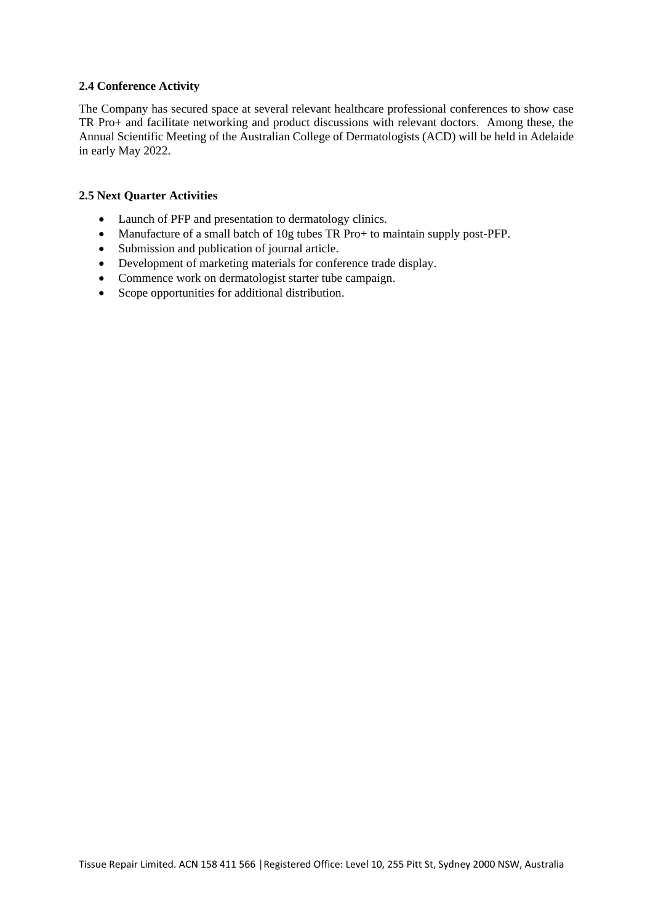#### **2.4 Conference Activity**

The Company has secured space at several relevant healthcare professional conferences to show case TR Pro+ and facilitate networking and product discussions with relevant doctors. Among these, the Annual Scientific Meeting of the Australian College of Dermatologists (ACD) will be held in Adelaide in early May 2022.

### **2.5 Next Quarter Activities**

- Launch of PFP and presentation to dermatology clinics.
- Manufacture of a small batch of 10g tubes TR Pro+ to maintain supply post-PFP.
- Submission and publication of journal article.
- Development of marketing materials for conference trade display.
- Commence work on dermatologist starter tube campaign.
- Scope opportunities for additional distribution.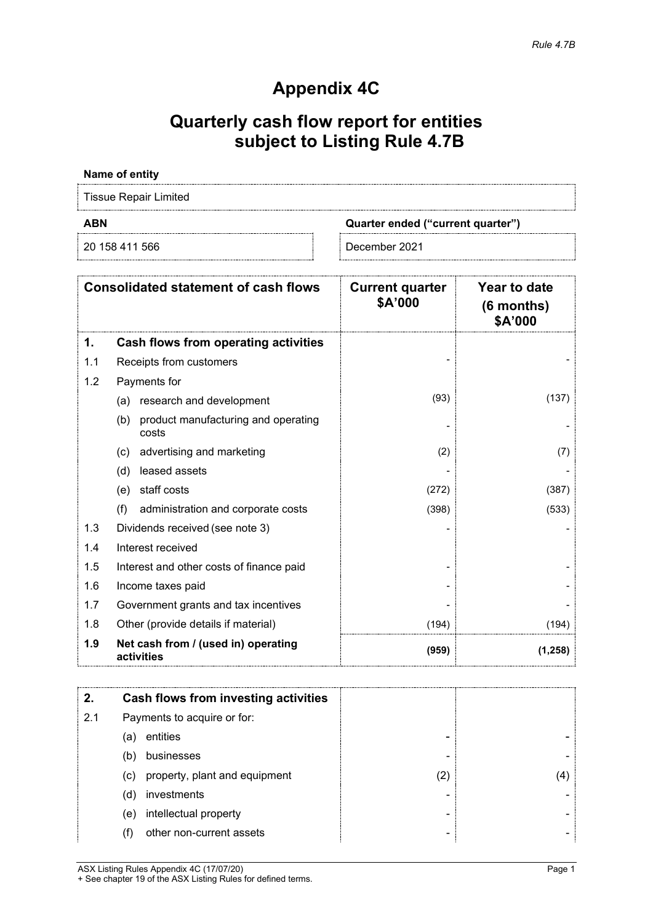# **Appendix 4C**

# **Quarterly cash flow report for entities subject to Listing Rule 4.7B**

# **Name of entity**

Tissue Repair Limited

20 158 411 566 December 2021

**ABN Quarter ended ("current quarter")**

|     | <b>Consolidated statement of cash flows</b>         | <b>Current quarter</b><br>\$A'000 | Year to date<br>(6 months)<br>\$A'000 |
|-----|-----------------------------------------------------|-----------------------------------|---------------------------------------|
| 1.  | Cash flows from operating activities                |                                   |                                       |
| 1.1 | Receipts from customers                             |                                   |                                       |
| 1.2 | Payments for                                        |                                   |                                       |
|     | research and development<br>(a)                     | (93)                              | (137)                                 |
|     | product manufacturing and operating<br>(b)<br>costs |                                   |                                       |
|     | advertising and marketing<br>(c)                    | (2)                               | (7)                                   |
|     | leased assets<br>(d)                                |                                   |                                       |
|     | staff costs<br>(e)                                  | (272)                             | (387)                                 |
|     | (f)<br>administration and corporate costs           | (398)                             | (533)                                 |
| 1.3 | Dividends received (see note 3)                     |                                   |                                       |
| 1.4 | Interest received                                   |                                   |                                       |
| 1.5 | Interest and other costs of finance paid            |                                   |                                       |
| 1.6 | Income taxes paid                                   |                                   |                                       |
| 1.7 | Government grants and tax incentives                |                                   |                                       |
| 1.8 | Other (provide details if material)                 | (194)                             | (194)                                 |
| 1.9 | Net cash from / (used in) operating<br>activities   | (959)                             | (1, 258)                              |

| 2.                                 | Cash flows from investing activities |  |   |    |
|------------------------------------|--------------------------------------|--|---|----|
| 2.1<br>Payments to acquire or for: |                                      |  |   |    |
|                                    | entities<br>(a)                      |  |   |    |
|                                    | businesses<br>(b)                    |  |   |    |
|                                    | property, plant and equipment<br>(c) |  | 2 | 41 |
|                                    | investments<br>(d)                   |  |   |    |
|                                    | intellectual property<br>(e)         |  |   |    |
|                                    | other non-current assets             |  |   |    |

ASX Listing Rules Appendix 4C (17/07/20) Page 1 + See chapter 19 of the ASX Listing Rules for defined terms.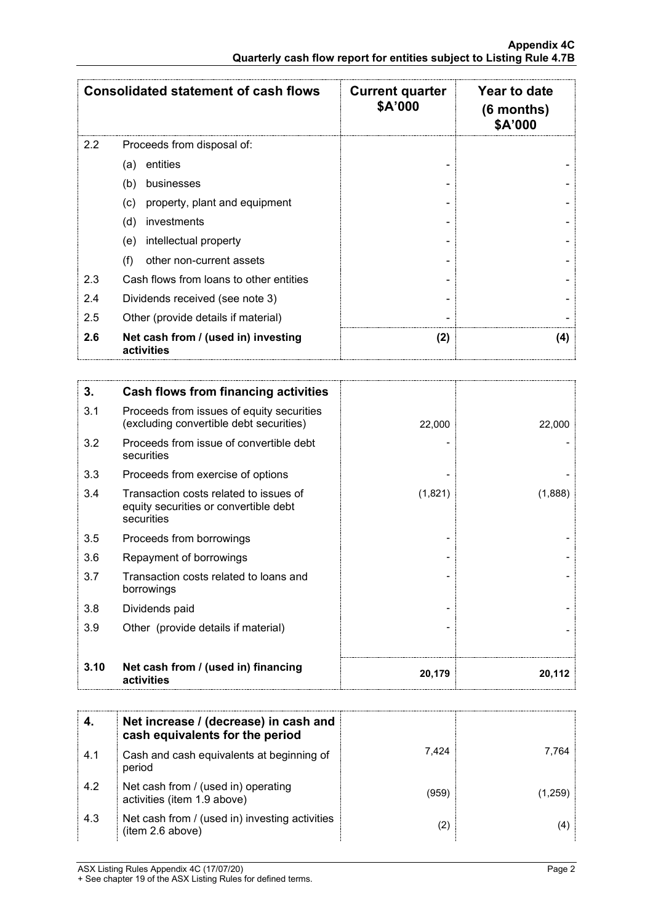|                  | <b>Consolidated statement of cash flows</b>       | <b>Current quarter</b><br>\$A'000 | Year to date<br>$(6$ months)<br>\$A'000 |
|------------------|---------------------------------------------------|-----------------------------------|-----------------------------------------|
| $2.2\phantom{0}$ | Proceeds from disposal of:                        |                                   |                                         |
|                  | entities<br>(a)                                   |                                   |                                         |
|                  | (b)<br>businesses                                 |                                   |                                         |
|                  | property, plant and equipment<br>(c)              |                                   |                                         |
|                  | (d)<br>investments                                |                                   |                                         |
|                  | intellectual property<br>(e)                      |                                   |                                         |
|                  | (f)<br>other non-current assets                   |                                   |                                         |
| 2.3              | Cash flows from loans to other entities           |                                   |                                         |
| 2.4              | Dividends received (see note 3)                   |                                   |                                         |
| 2.5              | Other (provide details if material)               |                                   |                                         |
| 2.6              | Net cash from / (used in) investing<br>activities | (2)                               | (4)                                     |

| 3.   | Cash flows from financing activities                                                          |         |         |
|------|-----------------------------------------------------------------------------------------------|---------|---------|
| 3.1  | Proceeds from issues of equity securities<br>(excluding convertible debt securities)          | 22,000  | 22,000  |
| 3.2  | Proceeds from issue of convertible debt<br>securities                                         |         |         |
| 3.3  | Proceeds from exercise of options                                                             |         |         |
| 3.4  | Transaction costs related to issues of<br>equity securities or convertible debt<br>securities | (1,821) | (1,888) |
| 3.5  | Proceeds from borrowings                                                                      |         |         |
| 3.6  | Repayment of borrowings                                                                       |         |         |
| 3.7  | Transaction costs related to loans and<br>borrowings                                          |         |         |
| 3.8  | Dividends paid                                                                                |         |         |
| 3.9  | Other (provide details if material)                                                           |         |         |
|      |                                                                                               |         |         |
| 3.10 | Net cash from / (used in) financing<br>activities                                             | 20,179  | 20.112  |

|     | Net increase / (decrease) in cash and<br>cash equivalents for the period |       |       |
|-----|--------------------------------------------------------------------------|-------|-------|
| 4.1 | Cash and cash equivalents at beginning of<br>period                      | 7.424 | 764   |
| 4.2 | Net cash from / (used in) operating<br>activities (item 1.9 above)       | (959  | 1.259 |
| 4.3 | Net cash from / (used in) investing activities<br>(item 2.6 above)       |       |       |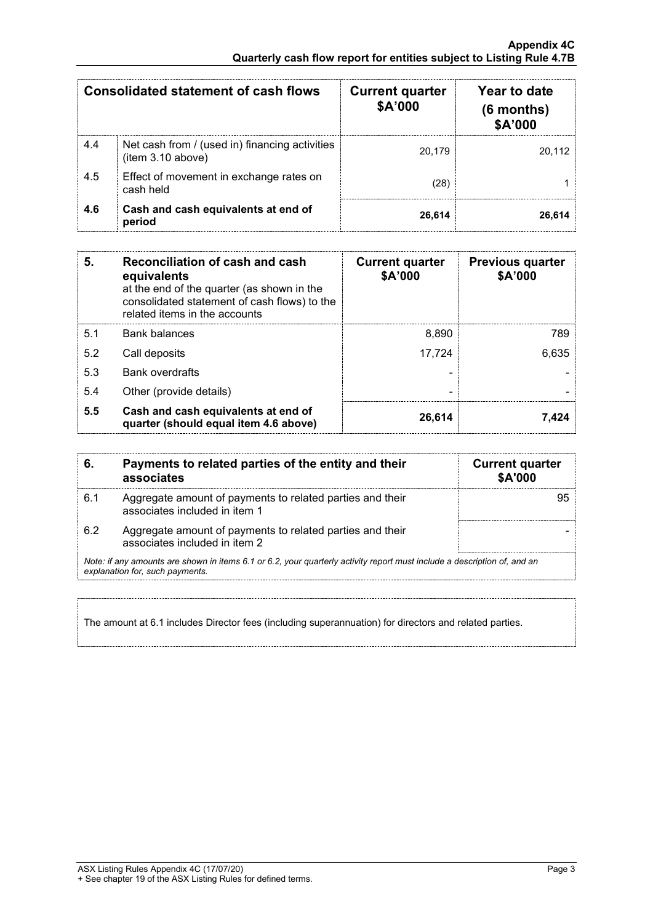|     | Consolidated statement of cash flows                                | <b>Current quarter</b><br>\$A'000 | Year to date<br>$(6$ months)<br><b>\$A'000</b> |
|-----|---------------------------------------------------------------------|-----------------------------------|------------------------------------------------|
| 4.4 | Net cash from / (used in) financing activities<br>(item 3.10 above) | 20.179                            | 20.112                                         |
| 4.5 | Effect of movement in exchange rates on<br>cash held                | 28                                |                                                |
| 4.6 | Cash and cash equivalents at end of<br>period                       | 26.614                            |                                                |

| 5.  | Reconciliation of cash and cash<br>equivalents<br>at the end of the quarter (as shown in the<br>consolidated statement of cash flows) to the<br>related items in the accounts | <b>Current quarter</b><br>\$A'000 | <b>Previous quarter</b><br>\$A'000 |
|-----|-------------------------------------------------------------------------------------------------------------------------------------------------------------------------------|-----------------------------------|------------------------------------|
| 5.1 | <b>Bank balances</b>                                                                                                                                                          | 8,890                             | 789                                |
| 5.2 | Call deposits                                                                                                                                                                 | 17,724                            | 6,635                              |
| 5.3 | <b>Bank overdrafts</b>                                                                                                                                                        |                                   |                                    |
| 5.4 | Other (provide details)                                                                                                                                                       |                                   |                                    |
| 5.5 | Cash and cash equivalents at end of<br>quarter (should equal item 4.6 above)                                                                                                  | 26,614                            |                                    |

| 6.  | Payments to related parties of the entity and their<br>associates                                                                                           | <b>Current quarter</b><br><b>\$A'000</b> |
|-----|-------------------------------------------------------------------------------------------------------------------------------------------------------------|------------------------------------------|
| 6.1 | Aggregate amount of payments to related parties and their<br>associates included in item 1                                                                  |                                          |
| 62  | Aggregate amount of payments to related parties and their<br>associates included in item 2                                                                  |                                          |
|     | Note: if any amounts are shown in items 6.1 or 6.2, your quarterly activity report must include a description of, and an<br>explanation for, such payments. |                                          |

The amount at 6.1 includes Director fees (including superannuation) for directors and related parties.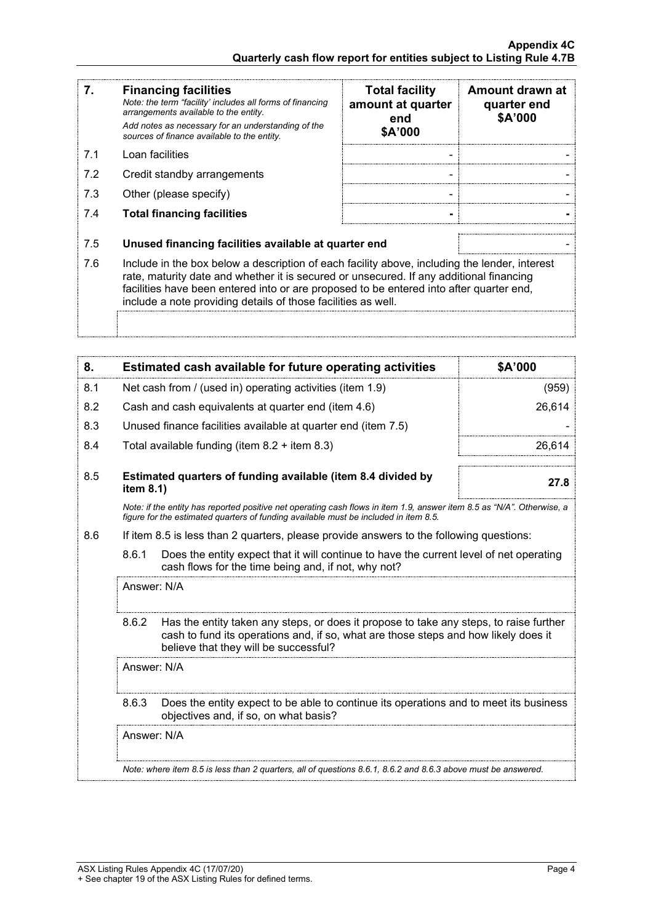| 7.  | <b>Financing facilities</b><br>Note: the term "facility' includes all forms of financing<br>arrangements available to the entity.<br>Add notes as necessary for an understanding of the<br>sources of finance available to the entity.                                                                                                               | <b>Total facility</b><br>amount at quarter<br>end<br>\$A'000 | Amount drawn at<br>quarter end<br>\$A'000 |
|-----|------------------------------------------------------------------------------------------------------------------------------------------------------------------------------------------------------------------------------------------------------------------------------------------------------------------------------------------------------|--------------------------------------------------------------|-------------------------------------------|
| 7.1 | Loan facilities                                                                                                                                                                                                                                                                                                                                      |                                                              |                                           |
| 7.2 | Credit standby arrangements                                                                                                                                                                                                                                                                                                                          |                                                              |                                           |
| 7.3 | Other (please specify)                                                                                                                                                                                                                                                                                                                               |                                                              |                                           |
| 7.4 | <b>Total financing facilities</b>                                                                                                                                                                                                                                                                                                                    |                                                              |                                           |
| 7.5 | Unused financing facilities available at quarter end                                                                                                                                                                                                                                                                                                 |                                                              |                                           |
| 7.6 | Include in the box below a description of each facility above, including the lender, interest<br>rate, maturity date and whether it is secured or unsecured. If any additional financing<br>facilities have been entered into or are proposed to be entered into after quarter end,<br>include a note providing details of those facilities as well. |                                                              |                                           |
|     |                                                                                                                                                                                                                                                                                                                                                      |                                                              |                                           |

| 8.                                                                                                                                                                                                             |                                                                                                                                                                                                                                 | Estimated cash available for future operating activities                                                                                       | \$A'000 |
|----------------------------------------------------------------------------------------------------------------------------------------------------------------------------------------------------------------|---------------------------------------------------------------------------------------------------------------------------------------------------------------------------------------------------------------------------------|------------------------------------------------------------------------------------------------------------------------------------------------|---------|
| 8.1                                                                                                                                                                                                            | Net cash from / (used in) operating activities (item 1.9)                                                                                                                                                                       |                                                                                                                                                | (959)   |
| 8.2                                                                                                                                                                                                            | Cash and cash equivalents at quarter end (item 4.6)                                                                                                                                                                             |                                                                                                                                                | 26,614  |
| 8.3                                                                                                                                                                                                            |                                                                                                                                                                                                                                 | Unused finance facilities available at quarter end (item 7.5)                                                                                  |         |
| 8.4                                                                                                                                                                                                            |                                                                                                                                                                                                                                 | Total available funding (item $8.2 +$ item $8.3$ )                                                                                             | 26,614  |
| 8.5                                                                                                                                                                                                            | item 8.1)                                                                                                                                                                                                                       | Estimated quarters of funding available (item 8.4 divided by                                                                                   | 27.8    |
| Note: if the entity has reported positive net operating cash flows in item 1.9, answer item 8.5 as "N/A". Otherwise, a<br>figure for the estimated quarters of funding available must be included in item 8.5. |                                                                                                                                                                                                                                 |                                                                                                                                                |         |
| 8.6                                                                                                                                                                                                            |                                                                                                                                                                                                                                 | If item 8.5 is less than 2 quarters, please provide answers to the following questions:                                                        |         |
|                                                                                                                                                                                                                | 8.6.1                                                                                                                                                                                                                           | Does the entity expect that it will continue to have the current level of net operating<br>cash flows for the time being and, if not, why not? |         |
|                                                                                                                                                                                                                | Answer: N/A                                                                                                                                                                                                                     |                                                                                                                                                |         |
|                                                                                                                                                                                                                | 8.6.2<br>Has the entity taken any steps, or does it propose to take any steps, to raise further<br>cash to fund its operations and, if so, what are those steps and how likely does it<br>believe that they will be successful? |                                                                                                                                                |         |
|                                                                                                                                                                                                                | Answer: N/A                                                                                                                                                                                                                     |                                                                                                                                                |         |
|                                                                                                                                                                                                                | 8.6.3<br>Does the entity expect to be able to continue its operations and to meet its business<br>objectives and, if so, on what basis?                                                                                         |                                                                                                                                                |         |
|                                                                                                                                                                                                                | Answer: N/A                                                                                                                                                                                                                     |                                                                                                                                                |         |
|                                                                                                                                                                                                                |                                                                                                                                                                                                                                 | Note: where item 8.5 is less than 2 quarters, all of questions 8.6.1, 8.6.2 and 8.6.3 above must be answered.                                  |         |